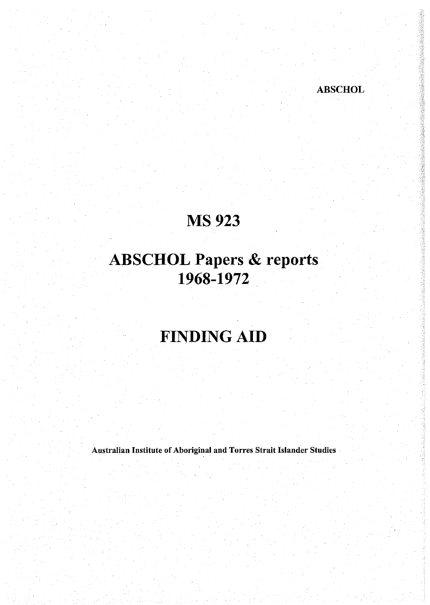### MS 923

ABSCHOL

# ABSCHOL Papers & reports 1968-1972

# FINDING AID

Australian Institute of Aboriginal and Torres Strait Islander Studies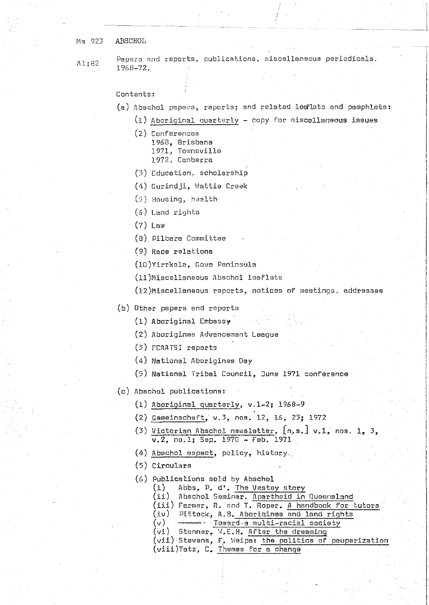Ms 923 ABSCHOL

A1;82

Papers and reports, publications, miscellaneous periodicals, 1968-72.

#### Contents:

- (a) Abschol papers, reports; and related lealets and pamphlets:
	- (1) Aboriginal quarterly copy for miscallaneous issues
		- (2) Conferences
			- 1968, Brisbane
				- 1971, Townsville
				- 1972, Canberra
		- (3) Education, scholarship
		- (4) Gurindji, Wattie Creek
		- (5) Housing, health
		- $(6)$  Land rights

 $(7)$  Law

(8) Pilbara Committee

(9) Race relations

(10) Yirrkala, Gove Peninsula

- (11)Miscellaneous Abschol leaflets
- (12)Miscellansous reports, notices of meetings, addresses

(b) Other papers and reports

- (1) Aboriginal Embassy
- (2) Aborigines Advancement League
- (3) FCAATSI reports
- (4) National Aborigines Day
- (5) National Tribal Council, June 1971 conference
- (c) Abschol publications:
	- (1) Aboriginal quarterly, v.1-2; 1968-9
	- (2) Gemeinschaft, v.3, nos. 12, 16, 23; 1972
	- (3) Victorian Abschol newsletter, In.s. J v.1, nos. 1, 3, v.2, no.1; Sep. 1970 - Feb. 1971
	- (4) Abschol aspect, policy, history.

(5) Circulars

- (6) Publications sold by Abschol
	- Abbs, P. d'. The Vestey story  $(i)$
	- (ii) Abschol Seminar. Apartheid in Queensland
	- (iii) Farmer, R. and T. Roper. A handbook for tutors
	- (iv) Pittock, A.B. Aborigines and land rights
	- $(v)$  - Foward-a multi-racial society (vi) Stanner, W.E.H. After the dreaming
	- (vii) Stevens, F. Weipa: the politics of pauperization
	- (viii)Tatz, C. Themes for a change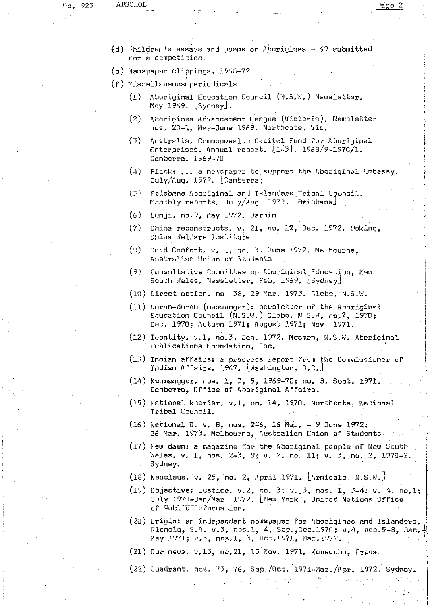- $(d)$  Children's essays and poems on Aborigines 69 submitted for a competition.
- (e) Newspaper clippings, 1968-72
- (f) Miscellaneous periodicals
	- (1) Aboriginal Education Council (N.S.W.) Newsletter. May 1969. [Sydney],
	- (2) Aborigines Advancement League (Victoria), Newsletter nos, 20-1, May-June 1969, Northcote, Vic.
	- (3) Australia, Commonwealth Capital Fund for Aboriginal Enterprises. Annual report. [l-3], 1968/9-1970/1, Canberra, 1969-70
	- (4) Black: ,,, a newspaper to.support the Aboriginal Embassy. July/Aug. 1972. [Canberra]
	- (5) Brisbane Aboriginal and Islandars^Tribal Council. Monthly reports, July/Aug. 1970, [Brisbana]
	- *(6)* Bunji, no 9, Hay 1972. Darwin
	- $(7)$  China reconstructs. v. 21, no. 12, Dec. 1972. Peking, China Welfare Institute
	- (5) Cold Comfort, v. 1, no, 3, 3une 1972, M&lhourna, Australian Union of Students
	- (9) Consultative Committea on Aboriginal Education, New South Wales, Newsletter, Feb, 1969, [Sydney]
	- (10) Direct action, no, 38, 29 Mar. 1973, Glebe, N.S.W,
	- (11) Duran-duran (messenger): newsletter of the Aboriginal Education Council (N.5,W.) Glebe, N.S.W. no,?, 1970; Dac. 1970j Autumn 1971; August 1971; Now. 1971.
	- (12) Identity, v.l, no,3, 3an, 1972. Mosman, N.S,W. Aboriginal Publications Foundation, Inc.
	- (13) Indian affairs: a progress report from the Commissioner of Indian Affairs, 1967. [Washington, D,C,J
	- $(14)$  Kunmanggur, nos, 1, 3, 5, 1969-70; no. 8, Sept, 1971. Canberra, Office of Aboriginal Affairs.
	- $(15)$  National kooriar. v.l, no. 14, 1970. Northcote, National Tribal Council.
	- (16) National U, v. 8, nos. 2-6, 16 Mar. 9 June 1972; 26 Mar. 1973, Melbourne, Australian Union of Students.
	- (17) New dawn: a magazine for the Aboriginal people of New South Wales, v. 1, nos. 2-3, 9; v. 2, no. 11; v. 3, no. 2, 1978-2. Sydney,
	- (18) Neucleus. v. 25, no. 2, April 1971. [Armidale. N.S.W.]
	- (19) Objective: Justice,  $v, 2,$  no,  $3, v, 3,$  nos. 1,  $3-4; v. 4, no, 1;$ July 1970-Jan/Mar. 1972, [l\)eiu York], United Nations Office of Public "Information.
	- (20) Origin: an independent newspaper for Aborigines and Islanders.,. Glenalg, S.A. v.3, nos.1, 4, Sep., Dec.1970; v.4, nos.5-8, Jan. May 1971; v.5, nos.1, 3, Oct.1971, Mar.1972.
	- (21) Our news, v,13, no,21, 15 Nov. 1971, Konedobu, Papua
	- (22) Quadrant, nos. 73i, 76, Sep,/0ct. 1971-Mar./Apr. 1972, Sydnay.